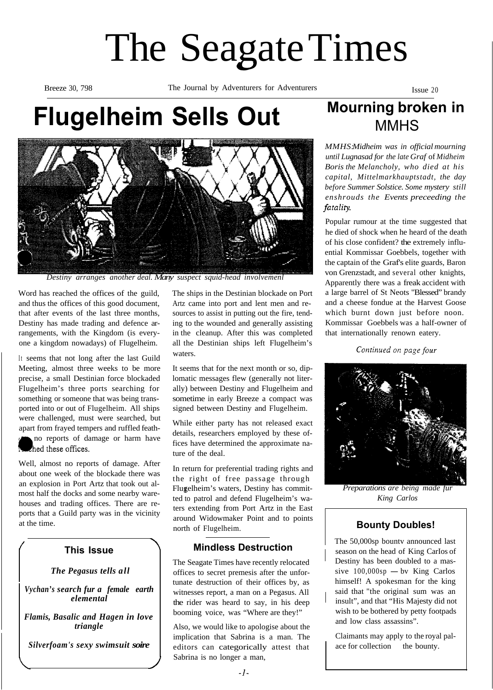# The Seagate Times

Breeze 30, 798 The Journal by Adventurers for Adventurers Issue 20

# **Flugelheim Sells Out** Mourning broken in



*Destiny arranges another deal. Many suspect squid-head involvemenl*

Word has reached the offices of the guild, and thus the offices of this good document, that after events of the last three months, Destiny has made trading and defence arrangements, with the Kingdom (is everyone a kingdom nowadays) of Flugelheim.

It seems that not long after the last Guild Meeting, almost three weeks to be more precise, a small Destinian force blockaded Flugelheim's three ports searching for something or someone that was being transported into or out of Flugelheim. All ships were challenged, must were searched, but apart from frayed tempers and ruffled feath-

no reports of damage or harm have hed these offices.

Well, almost no reports of damage. After about one week of the blockade there was an explosion in Port Artz that took out almost half the docks and some nearby warehouses and trading offices. There are reports that a Guild party was in the vicinity at the time.

### **This Issue**

#### *The Pegasus tells all*

*Vychan's search fur a female earth elemental*

*Flamis, Basalic and Hagen in love triangle*

*Silverfoam's sexy swimsuit soire*

The ships in the Destinian blockade on Port Artz came into port and lent men and resources to assist in putting out the fire, tending to the wounded and generally assisting in the cleanup. After this was completed all the Destinian ships left Flugelheim's waters.

It seems that for the next month or so, diplomatic messages flew (generally not literally) between Destiny and Flugelheim and sometime in early Breeze a compact was signed between Destiny and Flugelheim.

While either party has not released exact details, researchers employed by these offices have determined the approximate nature of the deal.

In return for preferential trading rights and the right of free passage through Flugelheim's waters, Destiny has committed to patrol and defend Flugelheim's waters extending from Port Artz in the East around Widowmaker Point and to points north of Flugelheim.

### **Mindless Destruction**

The Seagate Times have recently relocated offices to secret premesis after the unfortunate destruction of their offices by, as witnesses report, a man on a Pegasus. All the rider was heard to say, in his deep booming voice, was "Where are they!"

Also, we would like to apologise about the implication that Sabrina is a man. The editors can categorically attest that Sabrina is no longer a man,

# MMHS

*MMHS:Midheim was in official mourning until Lugnasad for the late Graf* of *Midheim Boris the Melancholy, who died at his capital, Mittelmarkhauptstadt, the day before Summer Solstice. Some mystery still enshrouds the Events preceeding the* fatality.

Popular rumour at the time suggested that he died of shock when he heard of the death of his close confident? the extremely influential Kommissar Goebbels, together with the captain of the Graf's elite guards, Baron von Grenzstadt, and several other knights, Apparently there was a freak accident with a large barrel of St Neots "Blessed" brandy and a cheese fondue at the Harvest Goose which burnt down just before noon. Kommissar Goebbels was a half-owner of that internationally renown eatery.

Continued on page four



*Preparations are being made furered King Carlos*

## **Bounty Doubles!**

The 50,000sp bountv announced last season on the head of King CarIos of Destiny has been doubled to a massive  $100,000$ sp - bv King Carlos himself! A spokesman for the king said that "the original sum was an insult", and that "His Majesty did not wish to be bothered by petty footpads and low class assassins".

Claimants may apply to the royal palace for collection the bounty.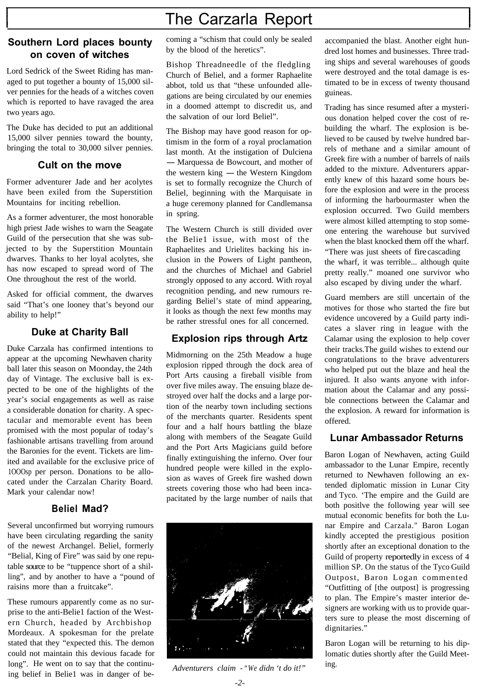# The Carzarla Report

#### **Southern Lord places bounty on coven of witches**

Lord Sedrick of the Sweet Riding has managed to put together a bounty of 15,000 silver pennies for the heads of a witches coven which is reported to have ravaged the area two years ago.

The Duke has decided to put an additional 15,000 silver pennies toward the bounty, bringing the total to 30,000 silver pennies.

#### **Cult on the move**

Former adventurer Jade and her acolytes have been exiled from the Superstition Mountains for inciting rebellion.

As a former adventurer, the most honorable high priest Jade wishes to warn the Seagate Guild of the persecution that she was subjected to by the Superstition Mountain dwarves. Thanks to her loyal acolytes, she has now escaped to spread word of The One throughout the rest of the world.

Asked for official comment, the dwarves said "That's one looney that's beyond our ability to help!"

#### **Duke at Charity Ball**

Duke Carzala has confirmed intentions to appear at the upcoming Newhaven charity ball later this season on Moonday, the 24th day of Vintage. The exclusive ball is expected to be one of the highlights of the year's social engagements as well as raise a considerable donation for charity. A spectacular and memorable event has been promised with the most popular of today's fashionable artisans travelling from around the Baronies for the event. Tickets are limited and available for the exclusive price of 1OOOsp per person. Donations to be allocated under the Carzalan Charity Board. Mark your calendar now!

#### **Beliel Mad?**

Several unconfirmed but worrying rumours have been circulating regarding the sanity of the newest Archangel. Beliel, formerly "Belial, King of Fire" was said by one reputable source to be "tuppence short of a shilling", and by another to have a "pound of raisins more than a fruitcake".

These rumours apparently come as no surprise to the anti-Belie1 faction of the Western Church, headed by Archbishop Mordeaux. A spokesman for the prelate stated that they "expected this. The demon could not maintain this devious facade for long". He went on to say that the continuing belief in Belie1 was in danger of becoming a "schism that could only be sealed by the blood of the heretics".

Bishop Threadneedle of the fledgling Church of Beliel, and a former Raphaelite abbot, told us that "these unfounded allegations are being circulated by our enemies in a doomed attempt to discredit us, and the salvation of our lord Beliel".

The Bishop may have good reason for optimism in the form of a royal proclamation last month. At the instigation of Dulciena - Marquessa de Bowcourt, and mother of - Marquessa de Bowcourt, and mother of<br>the western king - the Western Kingdom is set to formally recognize the Church of Beliel, beginning with the Marquisate in a huge ceremony planned for Candlemansa in spring.

The Western Church is still divided over the Belie1 issue, with most of the Raphaelites and Urielites backing his inclusion in the Powers of Light pantheon, and the churches of Michael and Gabriel strongly opposed to any accord. With royal recognition pending, and new rumours regarding Beliel's state of mind appearing, it looks as though the next few months may be rather stressful ones for all concerned.

### **Explosion rips through Artz**

Midmorning on the 25th Meadow a huge explosion ripped through the dock area of Port Arts causing a fireball visible from over five miles away. The ensuing blaze destroyed over half the docks and a large portion of the nearby town including sections of the merchants quarter. Residents spent four and a half hours battling the blaze along with members of the Seagate Guild and the Port Arts Magicians guild before finally extinguishing the inferno. Over four hundred people were killed in the explosion as waves of Greek fire washed down streets covering those who had been incapacitated by the large number of nails that



*Adventurers claim - "We didn 't do it!"*

accompanied the blast. Another eight hundred lost homes and businesses. Three trading ships and several warehouses of goods were destroyed and the total damage is estimated to be in excess of twenty thousand guineas.

Trading has since resumed after a mysterious donation helped cover the cost of rebuilding the wharf. The explosion is believed to be caused by twelve hundred barrels of methane and a similar amount of Greek fire with a number of barrels of nails added to the mixture. Adventurers apparently knew of this hazard some hours before the explosion and were in the process of informing the harbourmaster when the explosion occurred. Two Guild members were almost killed attempting to stop someone entering the warehouse but survived when the blast knocked them off the wharf. "There was just sheets of fire cascading the wharf, it was terrible... although quite pretty really." moaned one survivor who also escaped by diving under the wharf.

Guard members are still uncertain of the motives for those who started the fire but evidence uncovered by a Guild party indicates a slaver ring in league with the Calamar using the explosion to help cover their tracks.The guild wishes to extend our congratulations to the brave adventurers who helped put out the blaze and heal the injured. It also wants anyone with information about the Calamar and any possible connections between the Calamar and the explosion. A reward for information is offered.

#### **Lunar Ambassador Returns**

Baron Logan of Newhaven, acting Guild ambassador to the Lunar Empire, recently returned to Newhaven following an extended diplomatic mission in Lunar City and Tyco. 'The empire and the Guild are both positlve the following year will see mutual economic benefits for both the Lunar Empire and Carzala." Baron Logan kindly accepted the prestigious position shortly after an exceptional donation to the Guild of property reportedly in excess of 4 million SP. On the status of the Tyco Guild Outpost, Baron Logan commented "Outfitting of [the outpost] is progressing to plan. The Empire's master interior designers are working with us to provide quarters sure to please the most discerning of dignitaries."

Baron Logan will be returning to his diplomatic duties shortly after the Guild Meeting.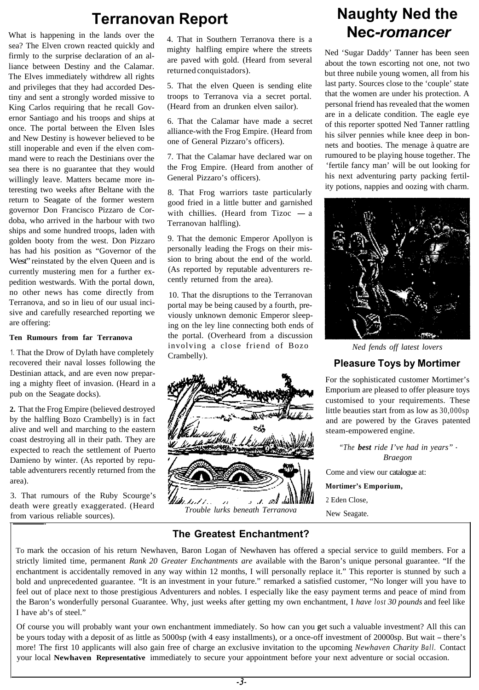# **Terranovan Report**

What is happening in the lands over the sea? The Elven crown reacted quickly and firmly to the surprise declaration of an alliance between Destiny and the Calamar. The Elves immediately withdrew all rights and privileges that they had accorded Des- 5. That the elven Queen is sending elite tiny and sent a strongly worded missive to troops to Terranova via a secret portal. King Carlos requiring that he recall Gov- (Heard from an drunken elven sailor). ernor Santiago and his troops and ships at once. The portal between the Elven Isles and New Destiny is however believed to be still inoperable and even if the elven command were to reach the Destinians over the sea there is no guarantee that they would willingly leave. Matters became more interesting two weeks after Beltane with the return to Seagate of the former western governor Don Francisco Pizzaro de Cordoba, who arrived in the harbour with two ships and some hundred troops, laden with golden booty from the west. Don Pizzaro no other news has come directly from Terranova, and so in lieu of our usual incisive and carefully researched reporting we are offering: has had his position as "Governor of the West" reinstated by the elven Queen and is currently mustering men for a further expedition westwards. With the portal down,

recovered their naval losses following the Crambelly). **Pleasure Toys by Mortimer** Destinian attack, and are even now preparing a mighty fleet of invasion. (Heard in a pub on the Seagate docks).

**2.** That the Frog Empire (believed destroyed by the halfling Bozo Crambelly) is in fact alive and well and marching to the eastern coast destroying all in their path. They are expected to reach the settlement of Puerto Damieno by winter. (As reported by reputable adventurers recently returned from the area).

3. That rumours of the Ruby Scourge's death were greatly exaggerated. (Heard from various reliable sources).

4. That in Southern Terranova there is a mighty halfling empire where the streets are paved with gold. (Heard from several returned conquistadors).

6. That the Calamar have made a secret alliance-with the Frog Empire. (Heard from one of General Pizzaro's officers).

7. That the Calamar have declared war on the Frog Empire. (Heard from another of General Pizzaro's officers).

8. That Frog warriors taste particularly good fried in a little butter and garnished with chillies. (Heard from Tizoc  $-$  a Terranovan halfling).

9. That the demonic Emperor Apollyon is personally leading the Frogs on their mission to bring about the end of the world. (As reported by reputable adventurers recently returned from the area).

10. That the disruptions to the Terranovan portal may be being caused by a fourth, previously unknown demonic Emperor sleeping on the ley line connecting both ends of **Ten Rumours from far Terranova** the portal. (Overheard from a discussion 1. That the Drow of Dylath have completely crambelly).<br>  $\frac{1}{2}$  Crambelly crambelly crambelly crambelly crambelly crambelly crambelly crambelly crambelly crambelly contract of Bozo and Crambelly contract of Bozo and Cram



*Trouble lurks beneath Terranova*

# **Naughty Ned the Nec***-romancer*

Ned 'Sugar Daddy' Tanner has been seen about the town escorting not one, not two but three nubile young women, all from his last party. Sources close to the 'couple' state that the women are under his protection. A personal friend has revealed that the women are in a delicate condition. The eagle eye of this reporter spotted Ned Tanner rattling his silver pennies while knee deep in bonnets and booties. The menage à quatre are rumoured to be playing house together. The 'fertile fancy man' will be out looking for his next adventuring party packing fertility potions, nappies and oozing with charm.



For the sophisticated customer Mortimer's Emporium are pleased to offer pleasure toys customised to your requirements. These little beauties start from as low as 30,000sp and are powered by the Graves patented steam-empowered engine.

*"The best ride I've had in years"* - *Braegon*

Come and view our catalogue at:

**Mortimer's Emporium,**

2 Eden Close,

New Seagate.

### **The Greatest Enchantment?**

To mark the occasion of his return Newhaven, Baron Logan of Newhaven has offered a special service to guild members. For a strictly limited time, permanent *Rank 20 Greater Enchantments are* available with the Baron's unique personal guarantee. "If the enchantment is accidentally removed in any way within 12 months, I will personally replace it." This reporter is stunned by such a bold and unprecedented guarantee. "It is an investment in your future." remarked a satisfied customer, "No longer will you have to feel out of place next to those prestigious Adventurers and nobles. I especially like the easy payment terms and peace of mind from the Baron's wonderfully personal Guarantee. Why, just weeks after getting my own enchantment, I *have lost 30 pounds* and feel like I have ab's of steel."

Of course you will probably want your own enchantment immediately. So how can you get such a valuable investment? All this can be yours today with a deposit of as little as 5000sp (with 4 easy installments), or a once-off investment of 20000sp. But wait - there's more! The first 10 applicants will also gain free of charge an exclusive invitation to the upcoming *Newhaven Charity Ball.* Contact your local **Newhaven Representative** immediately to secure your appointment before your next adventure or social occasion.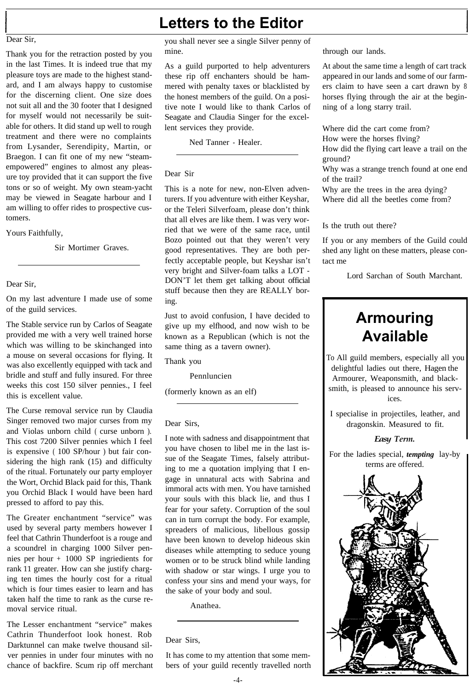#### Dear Sir,

Thank you for the retraction posted by you in the last Times. It is indeed true that my pleasure toys are made to the highest standard, and I am always happy to customise for the discerning client. One size does not suit all and the 30 footer that I designed for myself would not necessarily be suitable for others. It did stand up well to rough treatment and there were no complaints from Lysander, Serendipity, Martin, or Braegon. I can fit one of my new "steamempowered" engines to almost any pleasure toy provided that it can support the five tons or so of weight. My own steam-yacht may be viewed in Seagate harbour and I am willing to offer rides to prospective customers.

Yours Faithfully,

Sir Mortimer Graves.

#### Dear Sir,

On my last adventure I made use of some of the guild services.

The Stable service run by Carlos of Seagate provided me with a very well trained horse which was willing to be skinchanged into a mouse on several occasions for flying. It was also excellently equipped with tack and bridle and stuff and fully insured. For three weeks this cost 150 silver pennies., I feel this is excellent value.

The Curse removal service run by Claudia Singer removed two major curses from my and Violas unborn child ( curse unborn ). This cost 7200 Silver pennies which I feel is expensive ( 100 SP/hour ) but fair considering the high rank (15) and difficulty of the ritual. Fortunately our party employer the Wort, Orchid Black paid for this, Thank you Orchid Black I would have been hard pressed to afford to pay this.

The Greater enchantment "service" was used by several party members however I feel that Cathrin Thunderfoot is a rouge and a scoundrel in charging 1000 Silver pennies per hour + 1000 SP ingriedients for rank 11 greater. How can she justify charging ten times the hourly cost for a ritual which is four times easier to learn and has taken half the time to rank as the curse removal service ritual.

The Lesser enchantment "service" makes Cathrin Thunderfoot look honest. Rob Darktunnel can make twelve thousand silver pennies in under four minutes with no chance of backfire. Scum rip off merchant

# **Letters to the Editor**

you shall never see a single Silver penny of mine.

As a guild purported to help adventurers these rip off enchanters should be hammered with penalty taxes or blacklisted by the honest members of the guild. On a positive note I would like to thank Carlos of Seagate and Claudia Singer for the excellent services they provide.

Ned Tanner - Healer.

#### Dear Sir

This is a note for new, non-Elven adventurers. If you adventure with either Keyshar, or the Teleri Silverfoam, please don't think that all elves are like them. I was very worried that we were of the same race, until Bozo pointed out that they weren't very good representatives. They are both perfectly acceptable people, but Keyshar isn't very bright and Silver-foam talks a LOT - DON'T let them get talking about official stuff because then they are REALLY boring.

Just to avoid confusion, I have decided to give up my elfhood, and now wish to be known as a Republican (which is not the same thing as a tavern owner).

Thank you

Pennluncien

(formerly known as an elf)

#### Dear Sirs,

I note with sadness and disappointment that you have chosen to libel me in the last issue of the Seagate Times, falsely attributing to me a quotation implying that I engage in unnatural acts with Sabrina and immoral acts with men. You have tarnished your souls with this black lie, and thus I fear for your safety. Corruption of the soul can in turn corrupt the body. For example, spreaders of malicious, libellous gossip have been known to develop hideous skin diseases while attempting to seduce young women or to be struck blind while landing with shadow or star wings. I urge you to confess your sins and mend your ways, for the sake of your body and soul.

Anathea.

Dear Sirs,

It has come to my attention that some members of your guild recently travelled north through our lands.

At about the same time a length of cart track appeared in our lands and some of our farmers claim to have seen a cart drawn by 8 horses flying through the air at the beginning of a long starry trail.

Where did the cart come from? How were the horses flving? How did the flying cart leave a trail on the

ground? Why was a strange trench found at one end

of the trail? Why are the trees in the area dying? Where did all the beetles come from?

Is the truth out there?

If you or any members of the Guild could shed any light on these matters, please contact me

Lord Sarchan of South Marchant.

## **Armouring Available**

To All guild members, especially all you delightful ladies out there, Hagen the Armourer, Weaponsmith, and blacksmith, is pleased to announce his services.

I specialise in projectiles, leather, and dragonskin. Measured to fit.

#### *Easy Term.*

For the ladies special, *tempting* lay-by terms are offered.

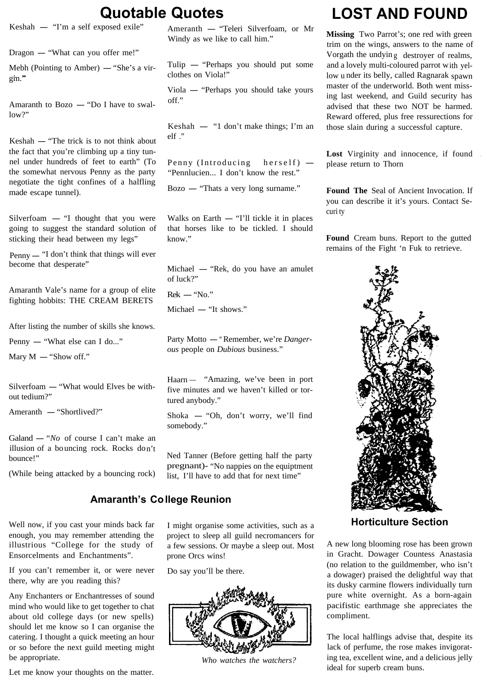Dragon - "What can you offer me!"

gm."

Amaranth to Bozo  $-$  "Do I have to swal $low?$ "

 $Keshah$  - "The trick is to not think about the fact that you're climbing up a tiny tunnel under hundreds of feet to earth" (To the somewhat nervous Penny as the party negotiate the tight confines of a halfling made escape tunnel).

Silverfoam  $-$  "I thought that you were Walks on Earth  $-$  "I'll tickle it in places curity going to suggest the standard solution of sticking their head between my legs"

Penny — "I don't think that things will ever become that desperate"

Amaranth Vale's name for a group of elite fighting hobbits: THE CREAM BERETS

After listing the number of skills she knows.<br>Penny — "What else can I do..."

Penny — "What else can I do..."<br>Mary  $M$  — "Show off."

 $Silverfoam$  - "What would Elves be without tedium?"

Ameranth - "Shortlived?"

Galand  $-$  "*No* of course I can't make an illusion of a bo uncing rock. Rocks don't bounce!"

(While being attacked by a bouncing rock)  $\frac{1}{1}$  list. I'll have to add that for next time"

#### **Amaranth's College Reunion**

Ensorcelments and Enchantments". prone Orcs wins!

If you can't remember it, or were never there, why are you reading this?

Any Enchanters or Enchantresses of sound mind who would like to get together to chat about old college days (or new spells) should let me know so I can organise the catering. I thought a quick meeting an hour or so before the next guild meeting might be appropriate.

Let me know your thoughts on the matter.

**Quotable Quotes**<br>
Keskah - "Teleri Silverfoam, or Mr<br>
Windy as we like to call him."

Mebh (Pointing to Amber)  $-$  "She's a vir- Tulip  $-$  "Perhaps you should put some clothes on Viola!"

> Viola - "Perhaps you should take yours off."

> Keshah  $-$  "1 don't make things; I'm an elf "

Penny (Introducing herself)  $\frac{Lost}{2}$  Virginity and i "Pennlucien... I don't know the rest."

Bozo -"Thats a very long surname." **Found The** Seal of Ancient Invocation. If

Walks on Earth  $-$  "I'll tickle it in places that horses like to be tickled. I should know." **Found** Cream buns. Report to the gutted

Michael - "Rek, do you have an amulet of luck?"

 $Rek$  - "No."

Michael - "It shows."

Party Motto - "Remember, we're *Dangerous* people on *Dubious* business."

Haarn – "Amazing, we've been in port five minutes and we haven't killed or tortured anybody."

Shoka - "Oh, don't worry, we'll find somebody."

Ned Tanner (Before getting half the party pregnant)- "No nappies on the equiptment

Well now, if you cast your minds back far I might organise some activities, such as a **Horticulture Section** enough, you may remember attending the project to sleep all guild necromancers for illustrious "College for the study of a few sessions. Or maybe a sleep out. Most

Do say you'll be there.



*Who watches the watchers?*

# **Cuotable Quotes**<br> **LOST AND FOUND**<br> **Keshah** — "Tm a self exposed exile"<br> **Ameranth** — "Teleri Silverfoam, or Mr

Missing Two Parrot's; one red with green trim on the wings, answers to the name of Vorgath the undyin g destroyer of realms, and a lovely multi-coloured parrot with yellow u nder its belly, called Ragnarak spawn master of the underworld. Both went missing last weekend, and Guild security has advised that these two NOT be harmed. Reward offered, plus free ressurections for those slain during a successful capture.

Lost Virginity and innocence, if found

you can describe it it's yours. Contact Se-

remains of the Fight 'n Fuk to retrieve.



A new long blooming rose has been grown in Gracht. Dowager Countess Anastasia (no relation to the guildmember, who isn't a dowager) praised the delightful way that its dusky carmine flowers individually turn pure white overnight. As a born-again pacifistic earthmage she appreciates the compliment.

The local halflings advise that, despite its lack of perfume, the rose makes invigorating tea, excellent wine, and a delicious jelly ideal for superb cream buns.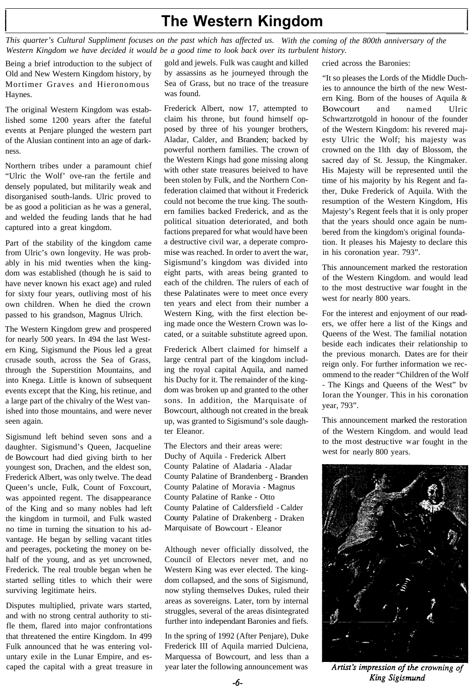## **The Western Kingdom**

*This quarter's Cultural Suppliment focuses on the past which has affected us. With the coming of the 800th anniversary of the Western Kingdom we have decided it would be a good time to look back over its turbulent history.*

Old and New Western Kingdom history, by by assassins as he journeyed through the Mortimer Graves and Hieronomous Sea of Grass, but no trace of the treasure Haynes. was found.

The original Western Kingdom was established some 1200 years after the fateful events at Penjare plunged the western part of the Alusian continent into an age of darkness.

Northern tribes under a paramount chief "Ulric the Wolf' ove-ran the fertile and densely populated, but militarily weak and disorganised south-lands. Ulric proved to be as good a politician as he was a general, and welded the feuding lands that he had captured into a great kingdom.

Part of the stability of the kingdom came from Ulric's own longevity. He was probably in his mid twenties when the kingdom was established (though he is said to have never known his exact age) and ruled for sixty four years, outliving most of his own children. When he died the crown passed to his grandson, Magnus Ulrich.

The Western Kingdom grew and prospered for nearly 500 years. In 494 the last Western King, Sigismund the Pious led a great crusade south, across the Sea of Grass, through the Superstition Mountains, and into Knega. Little is known of subsequent events except that the King, his retinue, and a large part of the chivalry of the West vanished into those mountains, and were never seen again.

Sigismund left behind seven sons and a daughter. Sigismund's Queen, Jacqueline de Bowcourt had died giving birth to her youngest son, Drachen, and the eldest son, Frederick Albert, was only twelve. The dead Queen's uncle, Fulk, Count of Foxcourt, was appointed regent. The disappearance of the King and so many nobles had left the kingdom in turmoil, and Fulk wasted no time in turning the situation to his advantage. He began by selling vacant titles and peerages, pocketing the money on behalf of the young, and as yet uncrowned, Frederick. The real trouble began when he started selling titles to which their were surviving legitimate heirs.

Disputes multiplied, private wars started, and with no strong central authority to stifle them, flared into major confrontations that threatened the entire Kingdom. In 499 Fulk announced that he was entering voluntary exile in the Lunar Empire, and escaped the capital with a great treasure in

Being a brief introduction to the subject of gold and jewels. Fulk was caught and killed cried across the Baronies:

Frederick Albert, now 17, attempted to claim his throne, but found himself opposed by three of his younger brothers, Aladar, Calder, and Branden; backed by powerful northern families. The crown of the Western Kings had gone missing along with other state treasures beieived to have been stolen by Fulk, and the Northern Confederation claimed that without it Frederick could not become the true king. The southern families backed Frederick, and as the political situation deteriorated, and both factions prepared for what would have been a destructive civil war, a deperate compromise was reached. In order to avert the war, Sigismund's kingdom was divided into eight parts, with areas being granted to each of the children. The rulers of each of these Palatinates were to meet once every ten years and elect from their number a Western King, with the first election being made once the Western Crown was located, or a suitable substitute agreed upon.

Frederick Albert claimed for himself a large central part of the kingdom including the royal capital Aquila, and named his Duchy for it. The remainder of the kingdom was broken up and granted to the other sons. In addition, the Marquisate of Bowcourt, although not created in the break up, was granted to Sigismund's sole daughter Eleanor.

The Electors and their areas were: Duchy of Aquila - Frederick Albert County Palatine of Aladaria - Aladar County Palatine of Brandenberg - Branden County Palatine of Moravia - Magnus County Palatine of Ranke - Otto County Palatine of Caldersfield - Calder County Palatine of Drakenberg - Draken Marquisate of Bowcourt - Eleanor

Although never officially dissolved, the Council of Electors never met, and no Western King was ever elected. The kingdom collapsed, and the sons of Sigismund, now styling themselves Dukes, ruled their areas as sovereigns. Later, torn by internal struggles, several of the areas disintegrated further into independant Baronies and fiefs.

In the spring of 1992 (After Penjare), Duke Frederick III of Aquila married Dulciena, Marquessa of Bowcourt, and less than a year later the following announcement was

"It so pleases the Lords of the Middle Duchies to announce the birth of the new Western King. Born of the houses of Aquila & Bowcourt and named Ulric Schwartzrotgold in honour of the founder of the Western Kingdom: his revered majesty Ulric the Wolf; his majesty was crowned on the 1lth day of Blossom, the sacred day of St. Jessup, the Kingmaker. His Majesty will be represented until the time of his majority by his Regent and father, Duke Frederick of Aquila. With the resumption of the Western Kingdom, His Majesty's Regent feels that it is only proper that the years should once again be numbered from the kingdom's original foundation. It pleases his Majesty to declare this in his coronation year. 793".

This announcement marked the restoration of the Western Kingdom. and would lead to the most destructive war fought in the west for nearly 800 years.

For the interest and enjoyment of our readers, we offer here a list of the Kings and Queens of the West. The familial notation beside each indicates their relationship to the previous monarch. Dates are for their reign only. For further information we recommend to the reader "Children of the Wolf - The Kings and Queens of the West" bv Ioran the Younger. This in his coronation year, 793".

This announcement marked the restoration of the Western Kingdom. and would lead to the m ost destructive w ar fought in thewest for nearly 800 years.



Artist's impression of the crowning of King Sigismund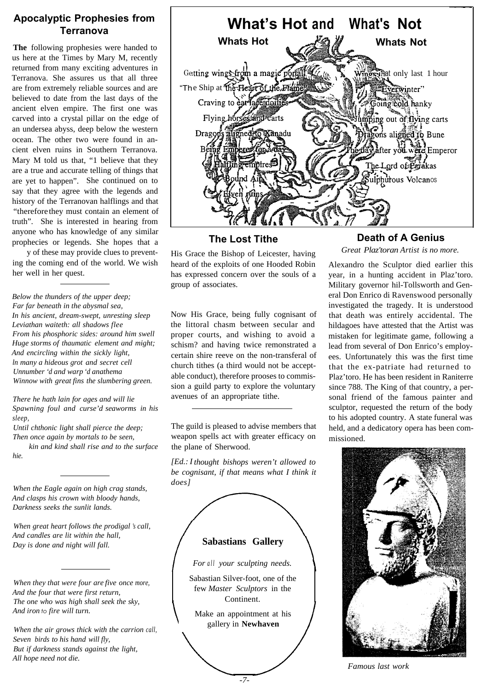### **Apocalyptic Prophesies from Terranova**

**The** following prophesies were handed to us here at the Times by Mary M, recently returned from many exciting adventures in Terranova. She assures us that all three are from extremely reliable sources and are believed to date from the last days of the ancient elven empire. The first one was carved into a crystal pillar on the edge of an undersea abyss, deep below the western ocean. The other two were found in ancient elven ruins in Southern Terranova. Mary M told us that, "1 believe that they are a true and accurate telling of things that are yet to happen". She continued on to say that they agree with the legends and history of the Terranovan halflings and that "therefore they must contain an element of truth". She is interested in hearing from anyone who has knowledge of any similar prophecies or legends. She hopes that a

y of these may provide clues to preventing the coming end of the world. We wish her well in her quest.

*Below the thunders of the upper deep; Far far beneath in the abysmal sea, In his ancient, dream-swept, unresting sleep Leviathan waiteth: all shadows flee From his phosphoric sides: around him swell Huge storms of thaumatic element and might; And encircling within the sickly light, ln many a hideous grot and secret cell Unnumber 'd and warp 'd anathema Winnow with great fins the slumbering green.*

*There he hath lain for ages and will lie Spawning foul and curse'd seaworms in his sleep,*

*Until chthonic light shall pierce the deep; Then once again by mortals to be seen,*

*kin and kind shall rise and to the surface hie.*

*When the Eagle again on high crag stands, And clasps his crown with bloody hands, Darkness seeks the sunlit lands.*

*When great heart follows the prodigal 's call, And candles are lit within the hall, Day is done and night will fall.*

*When they that were four are five once more, And the four that were first return, The one who was high shall seek the sky, And iron to fire will turn.*

*When the air grows thick with the carrion call, Seven birds to his hand will fly, But if darkness stands against the light, All hope need not die.*



**The Lost Tithe**

His Grace the Bishop of Leicester, having heard of the exploits of one Hooded Robin has expressed concern over the souls of a group of associates.

Now His Grace, being fully cognisant of the littoral chasm between secular and proper courts, and wishing to avoid a schism? and having twice remonstrated a certain shire reeve on the non-transferal of church tithes (a third would not be acceptable conduct), therefore prooses to commission a guild party to explore the voluntary avenues of an appropriate tithe.

The guild is pleased to advise members that weapon spells act with greater efficacy on the plane of Sherwood.

*[Ed.: I thought bishops weren't allowed to be cognisant, if that means what I think it does]*

### **Sabastians Gallery**

*For all your sculpting needs.*

Sabastian Silver-foot, one of the few *Master Sculptors* in the Continent.

Make an appointment at his gallery in **Newhaven**

### **Death of A Genius**

*Great Plaz'toran Artist is no more.*

Alexandro the Sculptor died earlier this year, in a hunting accident in Plaz'toro. Military governor hil-Tollsworth and General Don Enrico di Ravenswood personally investigated the tragedy. It is understood that death was entirely accidental. The hildagoes have attested that the Artist was mistaken for legitimate game, following a lead from several of Don Enrico's employees. Unfortunately this was the first time that the ex-patriate had returned to Plaz'toro. He has been resident in Raniterre since 788. The King of that country, a personal friend of the famous painter and sculptor, requested the return of the body to his adopted country. A state funeral was held, and a dedicatory opera has been commissioned.



**Famous last work**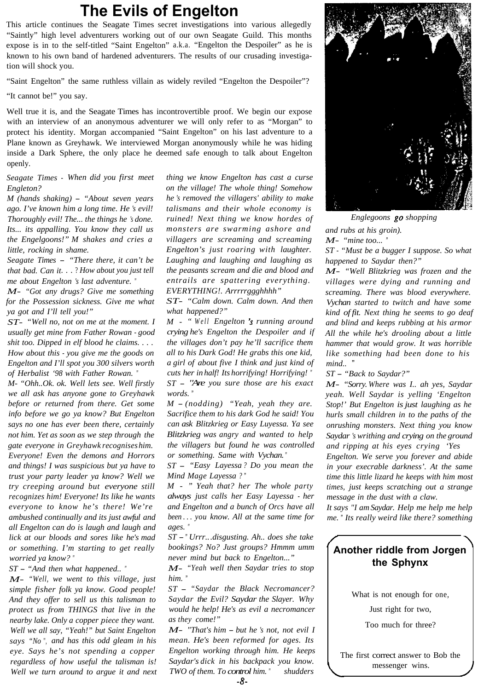## **The Evils of Engelton**

This article continues the Seagate Times secret investigations into various allegedly "Saintly" high level adventurers working out of our own Seagate Guild. This months expose is in to the self-titled "Saint Engelton" a.k.a. "Engelton the Despoiler" as he is known to his own band of hardened adventurers. The results of our crusading investigation will shock you.

"Saint Engelton" the same ruthless villain as widely reviled "Engelton the Despoiler"?

"It cannot be!" you say.

Well true it is, and the Seagate Times has incontrovertible proof. We begin our expose with an interview of an anonymous adventurer we will only refer to as "Morgan" to protect his identity. Morgan accompanied "Saint Engelton" on his last adventure to a Plane known as Greyhawk. We interviewed Morgan anonymously while he was hiding inside a Dark Sphere, the only place he deemed safe enough to talk about Engelton openly.

*Seagate Times - When did you first meet Engleton?*

*M (hands shaking) - "About seven years ago. I've known him a long time. He 's evil! Thoroughly evil! The... the things he 's done. Its... its appalling. You know they call us the Engelgoons!" M shakes and cries a little, rocking in shame.*

*Seagate Times - "There there, it can't be that bad. Can it*. . . ? *How about you just tell me about Engelton 's last adventure. "*

*M- "Got any drugs? Give me something for the Possession sickness. Give me what ya got and I'll tell you!"*

*ST- "Well no, not on me at the moment. I usually get mine from Father Rowan - good shit too. Dipped in elf blood he claims. . . . How about this - you give me the goods on Engelton and I'll spot you 300 silvers worth of Herbalist '98 with Father Rowan. "*

*M- "Ohh..Ok. ok. Well lets see. Well firstly we all ask has anyone gone to Greyhawk before or returned from there. Get some info before we go ya know? But Engelton says no one has ever been there, certainly not him. Yet as soon as we step through the gate everyone in Greyhawk recognises him. Everyone! Even the demons and Horrors and things! I was suspicious but ya have to trust your party leader ya know? Well we try creeping around but everyone still recognizes him! Everyone! Its like he wants everyone to know he's there! We're ambushed continually and its just awful and all Engelton can do is laugh and laugh and lick at our bloods and sores like he's mad or something. I'm starting to get really worried ya know? "*

*ST - "And then what happened.. "*

*M- "Well, we went to this village, just simple fisher folk ya know. Good people! And they offer to sell us this talisman to protect us from THINGS that live in the nearby lake. Only a copper piece they want. Well we all say, "Yeah!" but Saint Engelton says "No ", and has this odd gleam in his eye. Says he's not spending a copper regardless of how useful the talisman is! Well we turn around to argue it and next* *thing we know Engelton has cast a curse on the village! The whole thing! Somehow he 's removed the villagers' ability to make talismans and their whole economy is ruined! Next thing we know hordes of monsters are swarming ashore and villagers are screaming and screaming Engelton's just roaring with laughter. Laughing and laughing and laughing as the peasants scream and die and blood and entrails are spattering everything. EVERYTHING!. Arrrrrggghhhh"*

*ST- "Calm down. Calm down. And then what happened?"*

*M - " Well Engelton 3 running around crying he's Engelton the Despoiler and if the villages don't pay he'll sacrifice them all to his Dark God! He grabs this one kid, a girl of about five I think and just kind of cuts her in half! Its horrifying! Horrifying! " ST - "Are you sure those are his exact words. "*

*M - (nodding) "Yeah, yeah they are. Sacrifice them to his dark God he said! You can ask Blitzkrieg or Easy Luyessa. Ya see Blitzkrieg was angry and wanted to help the villagers but found he was controlled or something. Same with Vychan. "*

*ST - "Easy Layessa ? Do you mean the Mind Mage Layessa ? "*

*M - " Yeah that? her The whole party always just calls her Easy Layessa - her and Engelton and a bunch of Orcs have all been . . . you know. All at the same time for ages. "*

*ST -" Urrr...disgusting. Ah.. does she take bookings? No? Just groups? Hmmm umm never mind but back to Engelton..."*

*M- "Yeah well then Saydar tries to stop him. "*

*ST - "Saydar the Black Necromancer? Saydar the Evil? Saydar the Slayer. Why would he help! He's as evil a necromancer as they come!"*

*M- "That's him - but he 's not, not evil I mean. He's been reformed for ages. Its Engelton working through him. He keeps Saydar's dick in his backpack you know. TWO of them. To control him." shudders* 



*Englegoons shopping and rubs at his groin). M*- "mine too...

*ST - "Must be a bugger I suppose. So what happened to Saydar then?"*

*M- "Well Blitzkrieg was frozen and the villages were dying and running and screaming. There was blood everywhere. Vychan started to twitch and have some kind of fit. Next thing he seems to go deaf and blind and keeps rubbing at his armor All the while he's drooling about a little hammer that would grow. It was horrible like something had been done to his mind..* "

*ST - "Back to Saydar?"*

*M- "Sorry. Where was I.. ah yes, Saydar yeah. Well Saydar is yelling 'Engelton Stop!' But Engelton is just laughing as he hurls small children in to the paths of the onrushing monsters. Next thing you know Saydar 's writhing and crying on the ground and ripping at his eyes crying 'Yes* 

*Engelton. We serve you forever and abide in your execrable darkness'. At the same time this little lizard he keeps with him most times, just keeps scratching out a strange message in the dust with a claw.*

*It says "I am Saydar. Help me help me help me. " Its really weird like there? something*

### **Another riddle from Jorgen the Sphynx**

What is not enough for one,

Just right for two,

Too much for three?

The first correct answer to Bob the messenger wins.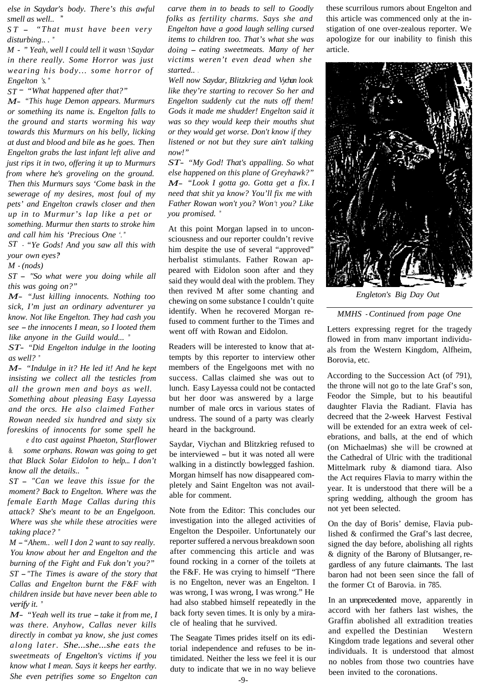*else in Saydar's body. There's this awful smell as well..* "

*ST - "That must have been very*  $distribing...$ 

*M - " Yeah, well I could tell it wasn 't Saydar in there really. Some Horror was just wearing his body... some horror of Engelton 's. "*

*ST - "What happened after that?"*

*M- "This huge Demon appears. Murmurs or something its name is. Engelton falls to the ground and starts worming his way towards this Murmurs on his belly, licking at dust and blood and bile as he goes. Then Engelton grabs the last infant left alive and just rips it in two, offering it up to Murmurs from where he's groveling on the ground. Then this Murmurs says 'Come bask in the sewerage of my desires, most foul of my pets' and Engelton crawls closer and then up in to Murmur's lap like a pet or something. Murmur then starts to stroke him and call him his 'Precious One '. "*

*ST - "Ye Gods! And you saw all this with your own eyes? "*

*M - (nods)*

*ST - "So what were you doing while all this was going on?"*

*M- "Just killing innocents. Nothing too sick, I'm just an ordinary adventurer ya know. Not like Engelton. They had cash you see - the innocents I mean, so I looted them like anyone in the Guild would... "*

*ST- "Did Engelton indulge in the looting as well? "*

*M- "Indulge in it? He led it! And he kept insisting we collect all the testicles from all the grown men and boys as well. Something about pleasing Easy Layessa and the orcs. He also claimed Father Rowan needed six hundred and sixty six foreskins of innocents for some spell he*

*e d to cast against Phaeton, Starflower &. some orphans. Rowan was going to get that Black Solar Eidolon to help... I don't know all the details..* "

*ST - "Can we leave this issue for the moment? Back to Engelton. Where was the female Earth Mage Callas during this attack? She's meant to be an Engelgoon. Where was she while these atrocities were taking place? "*

*M -"Ahem..* . *well I don 2 want to say really. You know about her and Engelton and the burning of the Fight and Fuk don't you?" ST -"The Times is aware of the story that Callas and Engelton burnt the F&F with children inside but have never been able to verify it. "*

*M- "Yeah well its true - take it from me, I was there. Anyhow, Callas never kills directly in combat ya know, she just comes along later. She...she...she eats the sweetmeats of Engelton's victims if you know what I mean. Says it keeps her earthy. She even petrifies some so Engelton can*

*carve them in to beads to sell to Goodly folks as fertility charms. Says she and Engelton have a good laugh selling cursed items to children too. That's what she was doing - eating sweetmeats. Many of her victims weren't even dead when she started..* .

*Well now Saydar, Blitzkrieg and Vychan look like they're starting to recover So her and Engelton suddenly cut the nuts off them! Gods it made me shudder! Engelton said it was so they would keep their mouths shut or they would get worse. Don't know if they listened or not but they sure ain't talking now!"*

*ST- "My God! That's appalling. So what else happened on this plane of Greyhawk?" M- "Look I gotta go. Gotta get a fix. I need that shit ya know? You'll fix me with Father Rowan won't you? Won 't you? Like you promised. "*

At this point Morgan lapsed in to unconsciousness and our reporter couldn't revive him despite the use of several "approved" herbalist stimulants. Father Rowan appeared with Eidolon soon after and they said they would deal with the problem. They then revived M after some chanting and chewing on some substance I couldn't quite identify. When he recovered Morgan refused to comment further to the Times and went off with Rowan and Eidolon.

Readers will be interested to know that attempts by this reporter to interview other members of the Engelgoons met with no success. Callas claimed she was out to lunch. Easy Layessa could not be contacted but her door was answered by a large number of male orcs in various states of undress. The sound of a party was clearly heard in the background.

Saydar, Viychan and Blitzkrieg refused to be interviewed - but it was noted all were walking in a distinctly bowlegged fashion. Morgan himself has now disappeared completely and Saint Engelton was not available for comment.

Note from the Editor: This concludes our investigation into the alleged activities of Engelton the Despoiler. Unfortunately our reporter suffered a nervous breakdown soon after commencing this article and was found rocking in a corner of the toilets at the F&F. He was crying to himself "There is no Engelton, never was an Engelton. I was wrong, I was wrong, I was wrong." He had also stabbed himself repeatedly in the back forty seven times. It is only by a miracle of healing that he survived.

The Seagate Times prides itself on its editorial independence and refuses to be intimidated. Neither the less we feel it is our duty to indicate that we in no way believe

these scurrilous rumors about Engelton and this article was commenced only at the instigation of one over-zealous reporter. We apologize for our inability to finish this article.



*Engleton's Big Day Out*

#### *MMHS - Continued from page One*

Letters expressing regret for the tragedy flowed in from manv important individuals from the Western Kingdom, Alfheim, Borovia, etc.

According to the Succession Act (of 791), the throne will not go to the late Graf's son, Feodor the Simple, but to his beautiful daughter Flavia the Radiant. Flavia has decreed that the 2-week Harvest Festival will be extended for an extra week of celebrations, and balls, at the end of which (on Michaelmas) she will be crowned at the Cathedral of Ulric with the traditional Mittelmark ruby & diamond tiara. Also the Act requires Flavia to marry within the year. It is understood that there will be a spring wedding, although the groom has not yet been selected.

On the day of Boris' demise, Flavia published & confirmed the Graf's last decree, signed the day before, abolishing all rights & dignity of the Barony of Blutsanger, regardless of any future claimants. The last baron had not been seen since the fall of the former Ct of Barovia. in 785.

In an unprecedented move, apparently in accord with her fathers last wishes, the Graffin abolished all extradition treaties and expelled the Destinian Western Kingdom trade legations and several other individuals. It is understood that almost no nobles from those two countries have been invited to the coronations.